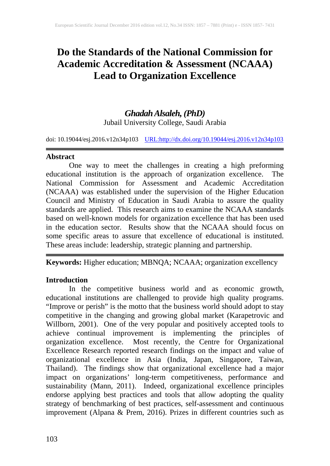# **Do the Standards of the National Commission for Academic Accreditation & Assessment (NCAAA) Lead to Organization Excellence**

## *Ghadah Alsaleh, (PhD)* Jubail University College, Saudi Arabia

doi: 10.19044/esj.2016.v12n34p103 [URL:http://dx.doi.org/10.19044/esj.2016.v12n34p103](http://dx.doi.org/10.19044/esj.2016.v12n34p103)

### **Abstract**

One way to meet the challenges in creating a high preforming educational institution is the approach of organization excellence. The National Commission for Assessment and Academic Accreditation (NCAAA) was established under the supervision of the Higher Education Council and Ministry of Education in Saudi Arabia to assure the quality standards are applied. This research aims to examine the NCAAA standards based on well-known models for organization excellence that has been used in the education sector. Results show that the NCAAA should focus on some specific areas to assure that excellence of educational is instituted. These areas include: leadership, strategic planning and partnership.

**Keywords:** Higher education; MBNQA; NCAAA; organization excellency

## **Introduction**

In the competitive business world and as economic growth, educational institutions are challenged to provide high quality programs. "Improve or perish" is the motto that the business world should adopt to stay competitive in the changing and growing global market (Karapetrovic and Willborn, 2001). One of the very popular and positively accepted tools to achieve continual improvement is implementing the principles of organization excellence. Most recently, the Centre for Organizational Excellence Research reported research findings on the impact and value of organizational excellence in Asia (India, Japan, Singapore, Taiwan, Thailand). The findings show that organizational excellence had a major impact on organizations' long-term competitiveness, performance and sustainability (Mann, 2011). Indeed, organizational excellence principles endorse applying best practices and tools that allow adopting the quality strategy of benchmarking of best practices, self-assessment and continuous improvement (Alpana & Prem, 2016). Prizes in different countries such as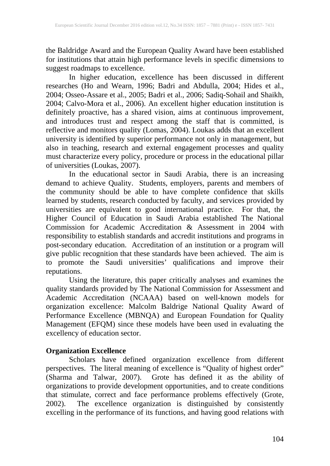the Baldridge Award and the European Quality Award have been established for institutions that attain high performance levels in specific dimensions to suggest roadmaps to excellence.

In higher education, excellence has been discussed in different researches (Ho and Wearn, 1996; Badri and Abdulla, 2004; Hides et al., 2004; Osseo-Assare et al., 2005; Badri et al., 2006; Sadiq-Sohail and Shaikh, 2004; Calvo-Mora et al., 2006). An excellent higher education institution is definitely proactive, has a shared vision, aims at continuous improvement, and introduces trust and respect among the staff that is committed, is reflective and monitors quality (Lomas, 2004). Loukas adds that an excellent university is identified by superior performance not only in management, but also in teaching, research and external engagement processes and quality must characterize every policy, procedure or process in the educational pillar of universities (Loukas, 2007).

In the educational sector in Saudi Arabia, there is an increasing demand to achieve Quality. Students, employers, parents and members of the community should be able to have complete confidence that skills learned by students, research conducted by faculty, and services provided by universities are equivalent to good international practice. For that, the Higher Council of Education in Saudi Arabia established The National Commission for Academic Accreditation & Assessment in 2004 with responsibility to establish standards and accredit institutions and programs in post-secondary education. Accreditation of an institution or a program will give public recognition that these standards have been achieved. The aim is to promote the Saudi universities' qualifications and improve their reputations.

Using the literature, this paper critically analyses and examines the quality standards provided by The National Commission for Assessment and Academic Accreditation (NCAAA) based on well-known models for organization excellence: Malcolm Baldrige National Quality Award of Performance Excellence (MBNQA) and European Foundation for Quality Management (EFQM) since these models have been used in evaluating the excellency of education sector.

### **Organization Excellence**

Scholars have defined organization excellence from different perspectives. The literal meaning of excellence is "Quality of highest order" (Sharma and Talwar, 2007). Grote has defined it as the ability of organizations to provide development opportunities, and to create conditions that stimulate, correct and face performance problems effectively (Grote, 2002). The excellence organization is distinguished by consistently excelling in the performance of its functions, and having good relations with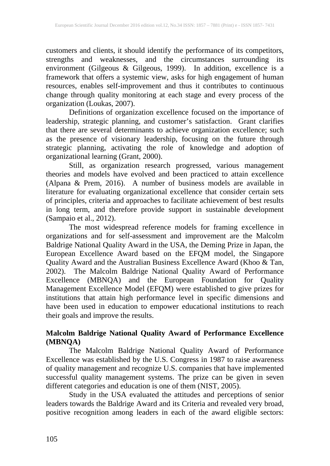customers and clients, it should identify the performance of its competitors, strengths and weaknesses, and the circumstances surrounding its environment (Gilgeous & Gilgeous, 1999). In addition, excellence is a framework that offers a systemic view, asks for high engagement of human resources, enables self-improvement and thus it contributes to continuous change through quality monitoring at each stage and every process of the organization (Loukas, 2007).

Definitions of organization excellence focused on the importance of leadership, strategic planning, and customer's satisfaction. Grant clarifies that there are several determinants to achieve organization excellence; such as the presence of visionary leadership, focusing on the future through strategic planning, activating the role of knowledge and adoption of organizational learning (Grant, 2000).

Still, as organization research progressed, various management theories and models have evolved and been practiced to attain excellence (Alpana & Prem, 2016). A number of business models are available in literature for evaluating organizational excellence that consider certain sets of principles, criteria and approaches to facilitate achievement of best results in long term, and therefore provide support in sustainable development (Sampaio et al., 2012).

The most widespread reference models for framing excellence in organizations and for self-assessment and improvement are the Malcolm Baldrige National Quality Award in the USA, the Deming Prize in Japan, the European Excellence Award based on the EFQM model, the Singapore Quality Award and the Australian Business Excellence Award (Khoo & Tan, 2002). The Malcolm Baldrige National Quality Award of Performance Excellence (MBNQA) and the European Foundation for Quality Management Excellence Model (EFQM) were established to give prizes for institutions that attain high performance level in specific dimensions and have been used in education to empower educational institutions to reach their goals and improve the results.

### **Malcolm Baldrige National Quality Award of Performance Excellence (MBNQA)**

The Malcolm Baldrige National Quality Award of Performance Excellence was established by the U.S. Congress in 1987 to raise awareness of quality management and recognize U.S. companies that have implemented successful quality management systems. The prize can be given in seven different categories and education is one of them (NIST, 2005).

Study in the USA evaluated the attitudes and perceptions of senior leaders towards the Baldrige Award and its Criteria and revealed very broad, positive recognition among leaders in each of the award eligible sectors: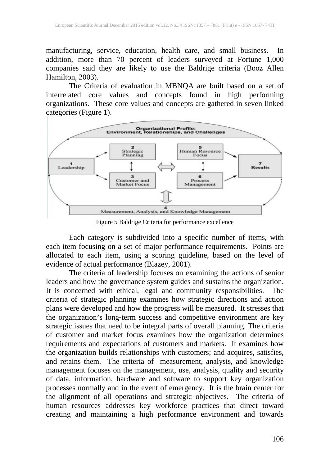manufacturing, service, education, health care, and small business. In addition, more than 70 percent of leaders surveyed at Fortune 1,000 companies said they are likely to use the Baldrige criteria (Booz Allen Hamilton, 2003).

The Criteria of evaluation in MBNQA are built based on a set of interrelated core values and concepts found in high performing organizations. These core values and concepts are gathered in seven linked categories (Figure 1).



Figure 5 Baldrige Criteria for performance excellence

Each category is subdivided into a specific number of items, with each item focusing on a set of major performance requirements. Points are allocated to each item, using a scoring guideline, based on the level of evidence of actual performance (Blazey, 2001).

The criteria of leadership focuses on examining the actions of senior leaders and how the governance system guides and sustains the organization. It is concerned with ethical, legal and community responsibilities. The criteria of strategic planning examines how strategic directions and action plans were developed and how the progress will be measured. It stresses that the organization's long‐term success and competitive environment are key strategic issues that need to be integral parts of overall planning. The criteria of customer and market focus examines how the organization determines requirements and expectations of customers and markets. It examines how the organization builds relationships with customers; and acquires, satisfies, and retains them. The criteria of measurement, analysis, and knowledge management focuses on the management, use, analysis, quality and security of data, information, hardware and software to support key organization processes normally and in the event of emergency. It is the brain center for the alignment of all operations and strategic objectives. The criteria of human resources addresses key workforce practices that direct toward creating and maintaining a high performance environment and towards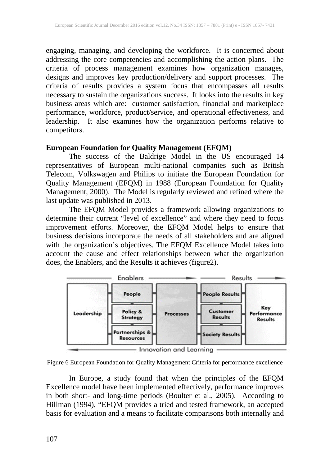engaging, managing, and developing the workforce. It is concerned about addressing the core competencies and accomplishing the action plans. The criteria of process management examines how organization manages, designs and improves key production/delivery and support processes. The criteria of results provides a system focus that encompasses all results necessary to sustain the organizations success. It looks into the results in key business areas which are: customer satisfaction, financial and marketplace performance, workforce, product/service, and operational effectiveness, and leadership. It also examines how the organization performs relative to competitors.

## **European Foundation for Quality Management (EFQM)**

The success of the Baldrige Model in the US encouraged 14 representatives of European multi-national companies such as British Telecom, Volkswagen and Philips to initiate the European Foundation for Quality Management (EFQM) in 1988 (European Foundation for Quality Management, 2000). The Model is regularly reviewed and refined where the last update was published in 2013.

The EFQM Model provides a framework allowing organizations to determine their current "level of excellence" and where they need to focus improvement efforts. Moreover, the EFQM Model helps to ensure that business decisions incorporate the needs of all stakeholders and are aligned with the organization's objectives. The EFQM Excellence Model takes into account the cause and effect relationships between what the organization does, the Enablers, and the Results it achieves (figure2).



Figure 6 European Foundation for Quality Management Criteria for performance excellence

In Europe, a study found that when the principles of the EFQM Excellence model have been implemented effectively, performance improves in both short- and long-time periods (Boulter et al., 2005). According to Hillman (1994), "EFQM provides a tried and tested framework, an accepted basis for evaluation and a means to facilitate comparisons both internally and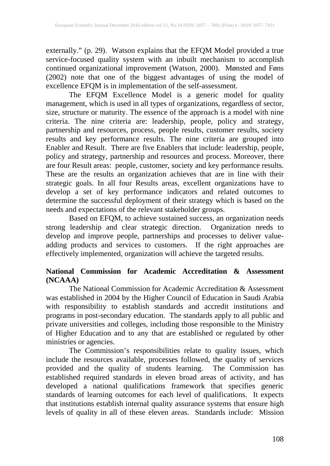externally." (p. 29). Watson explains that the EFQM Model provided a true service-focused quality system with an inbuilt mechanism to accomplish continued organizational improvement (Watson, 2000). Mønsted and Føns (2002) note that one of the biggest advantages of using the model of excellence EFQM is in implementation of the self-assessment.

The EFQM Excellence Model is a generic model for quality management, which is used in all types of organizations, regardless of sector, size, structure or maturity. The essence of the approach is a model with nine criteria. The nine criteria are: leadership, people, policy and strategy, partnership and resources, process, people results, customer results, society results and key performance results. The nine criteria are grouped into Enabler and Result. There are five Enablers that include: leadership, people, policy and strategy, partnership and resources and process. Moreover, there are four Result areas: people, customer, society and key performance results. These are the results an organization achieves that are in line with their strategic goals. In all four Results areas, excellent organizations have to develop a set of key performance indicators and related outcomes to determine the successful deployment of their strategy which is based on the needs and expectations of the relevant stakeholder groups.

Based on EFQM, to achieve sustained success, an organization needs strong leadership and clear strategic direction. Organization needs to develop and improve people, partnerships and processes to deliver valueadding products and services to customers. If the right approaches are effectively implemented, organization will achieve the targeted results.

## **National Commission for Academic Accreditation & Assessment (NCAAA)**

The National Commission for Academic Accreditation & Assessment was established in 2004 by the Higher Council of Education in Saudi Arabia with responsibility to establish standards and accredit institutions and programs in post-secondary education. The standards apply to all public and private universities and colleges, including those responsible to the Ministry of Higher Education and to any that are established or regulated by other ministries or agencies.

The Commission's responsibilities relate to quality issues, which include the resources available, processes followed, the quality of services provided and the quality of students learning. The Commission has established required standards in eleven broad areas of activity, and has developed a national qualifications framework that specifies generic standards of learning outcomes for each level of qualifications. It expects that institutions establish internal quality assurance systems that ensure high levels of quality in all of these eleven areas. Standards include: Mission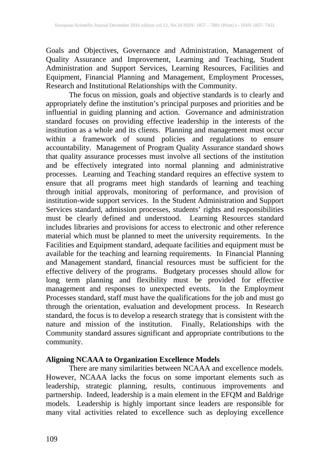Goals and Objectives, Governance and Administration, Management of Quality Assurance and Improvement, Learning and Teaching, Student Administration and Support Services, Learning Resources, Facilities and Equipment, Financial Planning and Management, Employment Processes, Research and Institutional Relationships with the Community.

The focus on mission, goals and objective standards is to clearly and appropriately define the institution's principal purposes and priorities and be influential in guiding planning and action. Governance and administration standard focuses on providing effective leadership in the interests of the institution as a whole and its clients. Planning and management must occur within a framework of sound policies and regulations to ensure accountability. Management of Program Quality Assurance standard shows that quality assurance processes must involve all sections of the institution and be effectively integrated into normal planning and administrative processes. Learning and Teaching standard requires an effective system to ensure that all programs meet high standards of learning and teaching through initial approvals, monitoring of performance, and provision of institution-wide support services. In the Student Administration and Support Services standard, admission processes, students' rights and responsibilities must be clearly defined and understood. Learning Resources standard includes libraries and provisions for access to electronic and other reference material which must be planned to meet the university requirements. In the Facilities and Equipment standard, adequate facilities and equipment must be available for the teaching and learning requirements. In Financial Planning and Management standard, financial resources must be sufficient for the effective delivery of the programs. Budgetary processes should allow for long term planning and flexibility must be provided for effective management and responses to unexpected events. In the Employment Processes standard, staff must have the qualifications for the job and must go through the orientation, evaluation and development process. In Research standard, the focus is to develop a research strategy that is consistent with the nature and mission of the institution. Finally, Relationships with the Community standard assures significant and appropriate contributions to the community.

## **Aligning NCAAA to Organization Excellence Models**

There are many similarities between NCAAA and excellence models. However, NCAAA lacks the focus on some important elements such as leadership, strategic planning, results, continuous improvements and partnership. Indeed, leadership is a main element in the EFQM and Baldrige models. Leadership is highly important since leaders are responsible for many vital activities related to excellence such as deploying excellence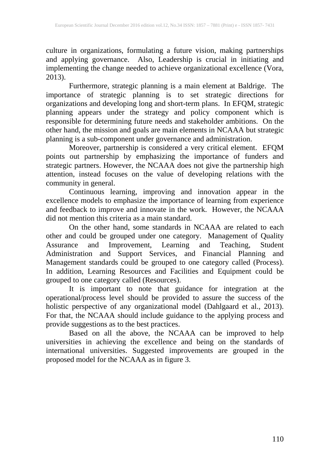culture in organizations, formulating a future vision, making partnerships and applying governance. Also, Leadership is crucial in initiating and implementing the change needed to achieve organizational excellence (Vora, 2013).

Furthermore, strategic planning is a main element at Baldrige. The importance of strategic planning is to set strategic directions for organizations and developing long and short-term plans. In EFQM, strategic planning appears under the strategy and policy component which is responsible for determining future needs and stakeholder ambitions. On the other hand, the mission and goals are main elements in NCAAA but strategic planning is a sub-component under governance and administration.

Moreover, partnership is considered a very critical element. EFQM points out partnership by emphasizing the importance of funders and strategic partners. However, the NCAAA does not give the partnership high attention, instead focuses on the value of developing relations with the community in general.

Continuous learning, improving and innovation appear in the excellence models to emphasize the importance of learning from experience and feedback to improve and innovate in the work. However, the NCAAA did not mention this criteria as a main standard.

On the other hand, some standards in NCAAA are related to each other and could be grouped under one category. Management of Quality Assurance and Improvement, Learning and Teaching, Student Administration and Support Services, and Financial Planning and Management standards could be grouped to one category called (Process). In addition, Learning Resources and Facilities and Equipment could be grouped to one category called (Resources).

It is important to note that guidance for integration at the operational/process level should be provided to assure the success of the holistic perspective of any organizational model (Dahlgaard et al., 2013). For that, the NCAAA should include guidance to the applying process and provide suggestions as to the best practices.

Based on all the above, the NCAAA can be improved to help universities in achieving the excellence and being on the standards of international universities. Suggested improvements are grouped in the proposed model for the NCAAA as in figure 3.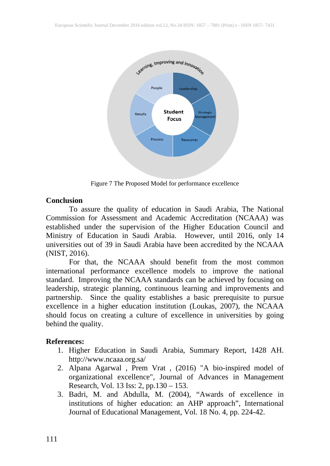

Figure 7 The Proposed Model for performance excellence

### **Conclusion**

To assure the quality of education in Saudi Arabia, The National Commission for Assessment and Academic Accreditation (NCAAA) was established under the supervision of the Higher Education Council and Ministry of Education in Saudi Arabia. However, until 2016, only 14 universities out of 39 in Saudi Arabia have been accredited by the NCAAA (NIST, 2016).

For that, the NCAAA should benefit from the most common international performance excellence models to improve the national standard. Improving the NCAAA standards can be achieved by focusing on leadership, strategic planning, continuous learning and improvements and partnership. Since the quality establishes a basic prerequisite to pursue excellence in a higher education institution (Loukas, 2007), the NCAAA should focus on creating a culture of excellence in universities by going behind the quality.

### **References:**

- 1. Higher Education in Saudi Arabia, Summary Report, 1428 AH. http://www.ncaaa.org.sa/
- 2. Alpana Agarwal , Prem Vrat , (2016) "A bio-inspired model of organizational excellence", Journal of Advances in Management Research, Vol. 13 Iss: 2, pp.130 – 153.
- 3. Badri, M. and Abdulla, M. (2004), "Awards of excellence in institutions of higher education: an AHP approach", International Journal of Educational Management, Vol. 18 No. 4, pp. 224-42.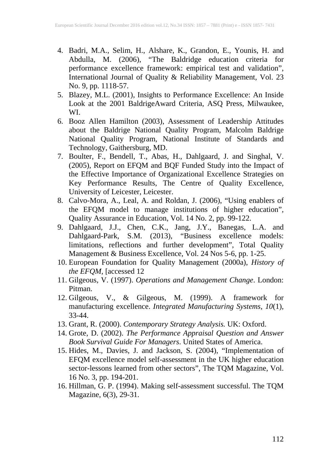- 4. Badri, M.A., Selim, H., Alshare, K., Grandon, E., Younis, H. and Abdulla, M. (2006), "The Baldridge education criteria for performance excellence framework: empirical test and validation", International Journal of Quality & Reliability Management, Vol. 23 No. 9, pp. 1118-57.
- 5. Blazey, M.L. (2001), Insights to Performance Excellence: An Inside Look at the 2001 BaldrigeAward Criteria, ASQ Press, Milwaukee, WI.
- 6. Booz Allen Hamilton (2003), Assessment of Leadership Attitudes about the Baldrige National Quality Program, Malcolm Baldrige National Quality Program, National Institute of Standards and Technology, Gaithersburg, MD.
- 7. Boulter, F., Bendell, T., Abas, H., Dahlgaard, J. and Singhal, V. (2005), Report on EFQM and BQF Funded Study into the Impact of the Effective Importance of Organizational Excellence Strategies on Key Performance Results, The Centre of Quality Excellence, University of Leicester, Leicester.
- 8. Calvo-Mora, A., Leal, A. and Roldan, J. (2006), "Using enablers of the EFQM model to manage institutions of higher education", Quality Assurance in Education, Vol. 14 No. 2, pp. 99-122.
- 9. Dahlgaard, J.J., Chen, C.K., Jang, J.Y., Banegas, L.A. and Dahlgaard-Park, S.M. (2013), "Business excellence models: limitations, reflections and further development", Total Quality Management & Business Excellence, Vol. 24 Nos 5-6, pp. 1-25.
- 10. European Foundation for Quality Management (2000a), *History of the EFQM,* [accessed 12
- 11. Gilgeous, V. (1997). *Operations and Management Change*. London: Pitman.
- 12. Gilgeous, V., & Gilgeous, M. (1999). A framework for manufacturing excellence. *Integrated Manufacturing Systems, 10*(1), 33-44.
- 13. Grant, R. (2000). *Contemporary Strategy Analysis.* UK: Oxford.
- 14. Grote, D. (2002). *The Performance Appraisal Question and Answer Book Survival Guide For Managers*. United States of America.
- 15. Hides, M., Davies, J. and Jackson, S. (2004), "Implementation of EFQM excellence model self-assessment in the UK higher education sector-lessons learned from other sectors", The TQM Magazine, Vol. 16 No. 3, pp. 194-201.
- 16. Hillman, G. P. (1994). Making self-assessment successful. The TQM Magazine, 6(3), 29-31.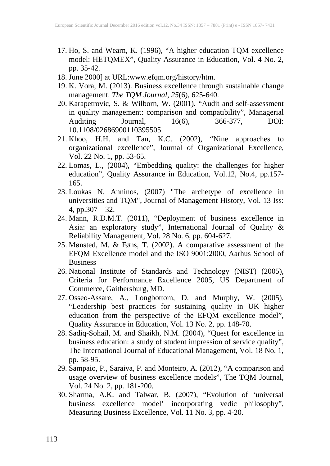- 17. Ho, S. and Wearn, K. (1996), "A higher education TQM excellence model: HETQMEX", Quality Assurance in Education, Vol. 4 No. 2, model: HETQMEX", Quality Assurance in Education, Vol. 4 No. 2, pp. 35-42.
- 18. June 2000] at URL:www.efqm.org/history/htm.
- 19. K. Vora, M. (2013). Business excellence through sustainable change management. *The TQM Journal*, *25*(6), 625-640.
- 20. Karapetrovic, S. & Wilborn, W. (2001). "Audit and self-assessment in quality management: comparison and compatibility", Managerial Auditing Journal, 16(6), 366-377, DOI: 10.1108/02686900110395505.
- 21. Khoo, H.H. and Tan, K.C. (2002), "Nine approaches to organizational excellence", Journal of Organizational Excellence, Vol. 22 No. 1, pp. 53-65.
- 22. Lomas, L., (2004), "Embedding quality: the challenges for higher education", Quality Assurance in Education, Vol.12, No.4, pp.157- 165.
- 23. Loukas N. Anninos, (2007) "The archetype of excellence in universities and TQM", Journal of Management History, Vol. 13 Iss: 4, pp.307 – 32.
- 24. Mann, R.D.M.T. (2011), "Deployment of business excellence in Asia: an exploratory study", International Journal of Quality & Reliability Management, Vol. 28 No. 6, pp. 604-627.
- 25. Mønsted, M. & Føns, T. (2002). A comparative assessment of the EFQM Excellence model and the ISO 9001:2000, Aarhus School of Business
- 26. National Institute of Standards and Technology (NIST) (2005), Criteria for Performance Excellence 2005, US Department of Commerce, Gaithersburg, MD.
- 27. Osseo-Assare, A., Longbottom, D. and Murphy, W. (2005), "Leadership best practices for sustaining quality in UK higher education from the perspective of the EFQM excellence model", Quality Assurance in Education, Vol. 13 No. 2, pp. 148-70.
- 28. Sadiq-Sohail, M. and Shaikh, N.M. (2004), "Quest for excellence in business education: a study of student impression of service quality", The International Journal of Educational Management, Vol. 18 No. 1, pp. 58-95.
- 29. Sampaio, P., Saraiva, P. and Monteiro, A. (2012), "A comparison and usage overview of business excellence models", The TQM Journal, Vol. 24 No. 2, pp. 181-200.
- 30. Sharma, A.K. and Talwar, B. (2007), "Evolution of 'universal business excellence model' incorporating vedic philosophy", Measuring Business Excellence, Vol. 11 No. 3, pp. 4-20.